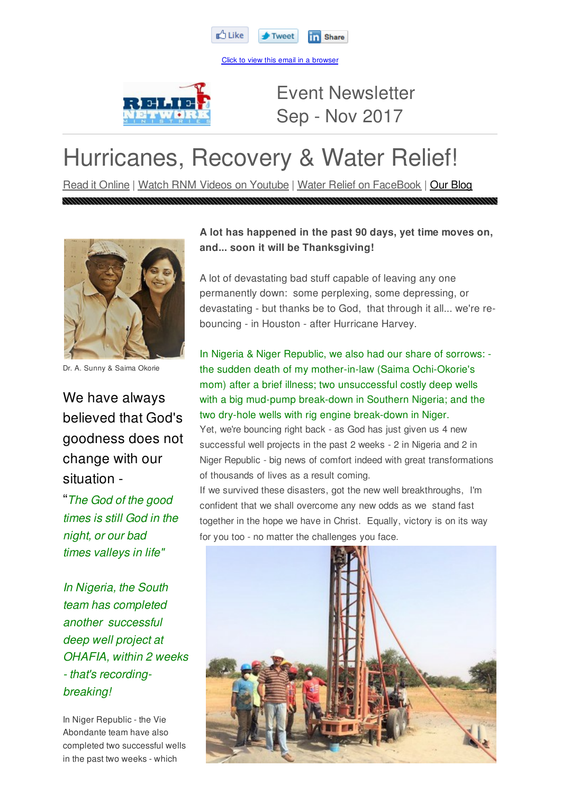

Click to view this email in a browser



Event Newsletter Sep - Nov 2017

# Hurricanes, Recovery & Water Relief!

Read it Online | Watch RNM Videos on Youtube | Water Relief on FaceBook | Our Blog



Dr. A. Sunny & Saima Okorie

We have always believed that God's goodness does not change with our situation -

"*The God of the good times is still God in the night, or our bad times valleys in life"*

*In Nigeria, the South team has completed another successful deep well project at OHAFIA, within 2 weeks - that's recordingbreaking!*

In Niger Republic - the Vie Abondante team have also completed two successful wells in the past two weeks - which

### **A lot has happened in the past 90 days, yet time moves on, and... soon it will be Thanksgiving!**

A lot of devastating bad stuff capable of leaving any one permanently down: some perplexing, some depressing, or devastating - but thanks be to God, that through it all... we're rebouncing - in Houston - after Hurricane Harvey.

In Nigeria & Niger Republic, we also had our share of sorrows: the sudden death of my mother-in-law (Saima Ochi-Okorie's mom) after a brief illness; two unsuccessful costly deep wells with a big mud-pump break-down in Southern Nigeria; and the two dry-hole wells with rig engine break-down in Niger.

Yet, we're bouncing right back - as God has just given us 4 new successful well projects in the past 2 weeks - 2 in Nigeria and 2 in Niger Republic - big news of comfort indeed with great transformations of thousands of lives as a result coming.

If we survived these disasters, got the new well breakthroughs, I'm confident that we shall overcome any new odds as we stand fast together in the hope we have in Christ. Equally, victory is on its way for you too - no matter the challenges you face.

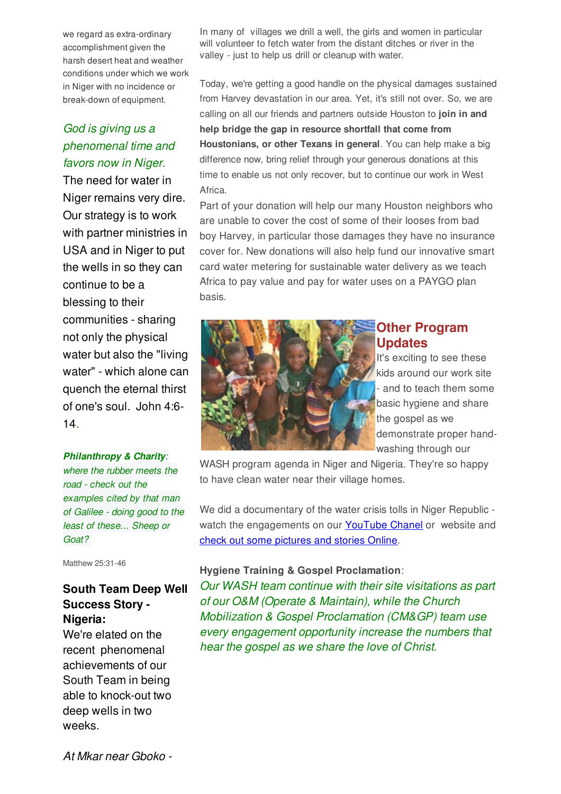we regard as extra-ordinary accomplishment given the harsh desert heat and weather conditions under which we work in Niger with no incidence or break-down of equipment.

## *God is giving us a phenomenal time and favors now in Niger.*

The need for water in Niger remains very dire. Our strategy is to work with partner ministries in USA and in Niger to put the wells in so they can continue to be a blessing to their communities - sharing not only the physical water but also the "living water" - which alone can quench the eternal thirst of one's soul. John 4:6- 14*.*

#### *Philanthropy & Charity:*

*where the rubber meets the road - check out the examples cited by that man of Galilee - doing good to the least of these... Sheep or Goat?*

Matthew 25:31-46

## **South Team Deep Well Success Story - Nigeria:**

We're elated on the recent phenomenal achievements of our South Team in being able to knock-out two deep wells in two weeks.

In many of villages we drill a well, the girls and women in particular will volunteer to fetch water from the distant ditches or river in the valley - just to help us drill or cleanup with water.

Today, we're getting a good handle on the physical damages sustained from Harvey devastation in our area. Yet, it's still not over. So, we are calling on all our friends and partners outside Houston to **join in and help bridge the gap in resource shortfall that come from Houstonians, or other Texans in general**. You can help make a big difference now, bring relief through your generous donations at this time to enable us not only recover, but to continue our work in West Africa.

Part of your donation will help our many Houston neighbors who are unable to cover the cost of some of their looses from bad boy Harvey, in particular those damages they have no insurance cover for. New donations will also help fund our innovative smart card water metering for sustainable water delivery as we teach Africa to pay value and pay for water uses on a PAYGO plan basis.



#### **Other Program Updates**

It's exciting to see these kids around our work site and to teach them some basic hygiene and share the gospel as we demonstrate proper handwashing through our

WASH program agenda in Niger and Nigeria. They're so happy to have clean water near their village homes.

We did a documentary of the water crisis tolls in Niger Republic watch the engagements on our YouTube Chanel or website and check out some pictures and stories Online.

#### **Hygiene Training & Gospel Proclamation**:

*Our WASH team continue with their site visitations as part of our O&M (Operate & Maintain), while the Church Mobilization & Gospel Proclamation (CM&GP) team use every engagement opportunity increase the numbers that hear the gospel as we share the love of Christ.*

*At Mkar near Gboko -*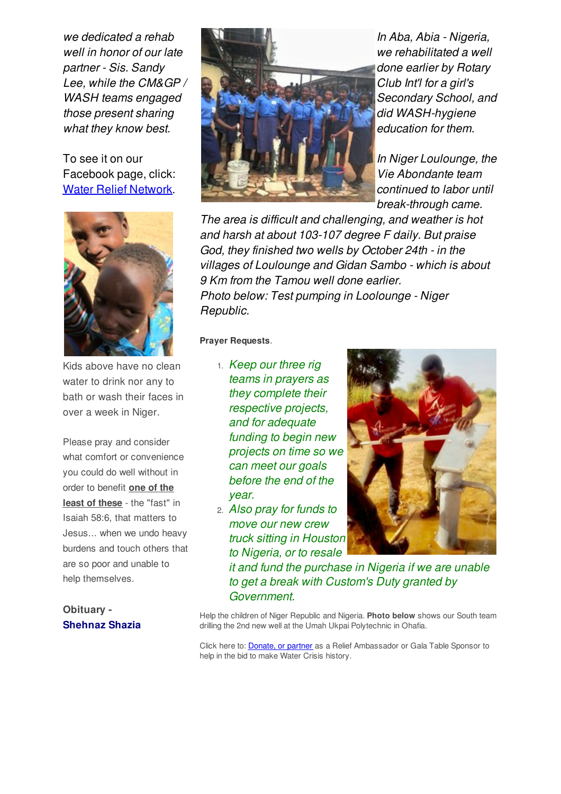*we dedicated a rehab well in honor of our late partner - Sis. Sandy Lee, while the CM&GP / WASH teams engaged those present sharing what they know best.*

To see it on our Facebook page, click: Water Relief Network.



Kids above have no clean water to drink nor any to bath or wash their faces in over a week in Niger.

Please pray and consider what comfort or convenience you could do well without in order to benefit **one of the least of these** - the "fast" in Isaiah 58:6, that matters to Jesus... when we undo heavy burdens and touch others that are so poor and unable to help themselves.



*In Aba, Abia - Nigeria, we rehabilitated a well done earlier by Rotary Club Int'l for a girl's Secondary School, and did WASH-hygiene education for them.*

*In Niger Loulounge, the Vie Abondante team continued to labor until break-through came.*

*The area is difficult and challenging, and weather is hot and harsh at about 103-107 degree F daily. But praise God, they finished two wells by October 24th - in the villages of Loulounge and Gidan Sambo - which is about 9 Km from the Tamou well done earlier. Photo below: Test pumping in Loolounge - Niger Republic.*

**Prayer Requests**.

- 1. *Keep our three rig teams in prayers as they complete their respective projects, and for adequate funding to begin new projects on time so we can meet our goals before the end of the year.*
- 2. *Also pray for funds to move our new crew truck sitting in Houston to Nigeria, or to resale*



*it and fund the purchase in Nigeria if we are unable to get a break with Custom's Duty granted by Government.*

**Obituary - Shehnaz Shazia**

Help the children of Niger Republic and Nigeria. **Photo below** shows our South team drilling the 2nd new well at the Umah Ukpai Polytechnic in Ohafia.

Click here to: **Donate, or partner** as a Relief Ambassador or Gala Table Sponsor to help in the bid to make Water Crisis history.